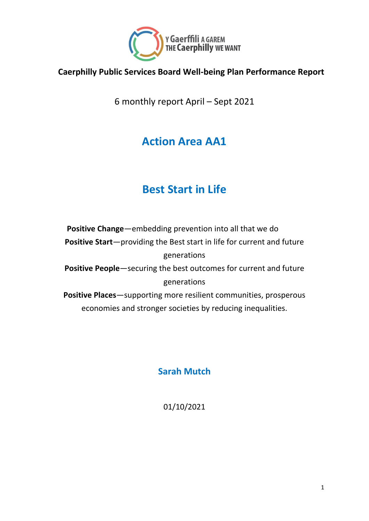

#### **Caerphilly Public Services Board Well-being Plan Performance Report**

6 monthly report April – Sept 2021

## **Action Area AA1**

### **Best Start in Life**

**Positive Change**—embedding prevention into all that we do **Positive Start**—providing the Best start in life for current and future generations **Positive People**—securing the best outcomes for current and future generations **Positive Places**—supporting more resilient communities, prosperous economies and stronger societies by reducing inequalities.

**Sarah Mutch**

01/10/2021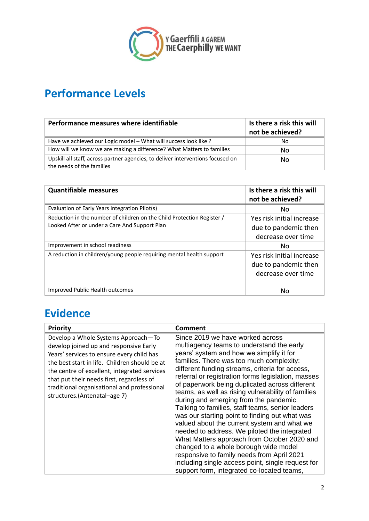

### **Performance Levels**

| Performance measures where identifiable                                                                      | Is there a risk this will<br>not be achieved? |
|--------------------------------------------------------------------------------------------------------------|-----------------------------------------------|
| Have we achieved our Logic model - What will success look like ?                                             | No                                            |
| How will we know we are making a difference? What Matters to families                                        | No.                                           |
| Upskill all staff, across partner agencies, to deliver interventions focused on<br>the needs of the families | No.                                           |

| <b>Quantifiable measures</b>                                                                                            | Is there a risk this will<br>not be achieved?                           |
|-------------------------------------------------------------------------------------------------------------------------|-------------------------------------------------------------------------|
| Evaluation of Early Years Integration Pilot(s)                                                                          | No                                                                      |
| Reduction in the number of children on the Child Protection Register /<br>Looked After or under a Care And Support Plan | Yes risk initial increase<br>due to pandemic then<br>decrease over time |
| Improvement in school readiness                                                                                         | No                                                                      |
| A reduction in children/young people requiring mental health support                                                    | Yes risk initial increase<br>due to pandemic then<br>decrease over time |
| Improved Public Health outcomes                                                                                         | No                                                                      |

### **Evidence**

| <b>Priority</b>                                                                                                                                                                                                                                                                                                                                         | Comment                                                                                                                                                                                                                                                                                                                                                                                                                                                                                                                                                                                                                                                                                                                                                                                                                                                                        |
|---------------------------------------------------------------------------------------------------------------------------------------------------------------------------------------------------------------------------------------------------------------------------------------------------------------------------------------------------------|--------------------------------------------------------------------------------------------------------------------------------------------------------------------------------------------------------------------------------------------------------------------------------------------------------------------------------------------------------------------------------------------------------------------------------------------------------------------------------------------------------------------------------------------------------------------------------------------------------------------------------------------------------------------------------------------------------------------------------------------------------------------------------------------------------------------------------------------------------------------------------|
| Develop a Whole Systems Approach-To<br>develop joined up and responsive Early<br>Years' services to ensure every child has<br>the best start in life. Children should be at<br>the centre of excellent, integrated services<br>that put their needs first, regardless of<br>traditional organisational and professional<br>structures.(Antenatal-age 7) | Since 2019 we have worked across<br>multiagency teams to understand the early<br>years' system and how we simplify it for<br>families. There was too much complexity:<br>different funding streams, criteria for access,<br>referral or registration forms legislation, masses<br>of paperwork being duplicated across different<br>teams, as well as rising vulnerability of families<br>during and emerging from the pandemic.<br>Talking to families, staff teams, senior leaders<br>was our starting point to finding out what was<br>valued about the current system and what we<br>needed to address. We piloted the integrated<br>What Matters approach from October 2020 and<br>changed to a whole borough wide model<br>responsive to family needs from April 2021<br>including single access point, single request for<br>support form, integrated co-located teams, |